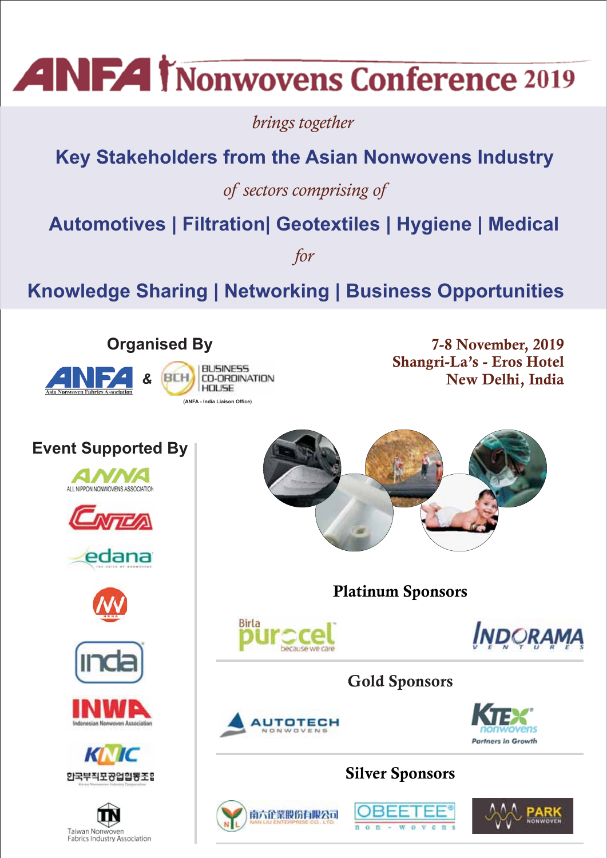# **ANFA Monwovens Conference 2019**

*brings together*

## **Key Stakeholders from the Asian Nonwovens Industry**

*of sectors comprising of*

**Automotives | Filtration| Geotextiles | Hygiene | Medical**

*for*

**Knowledge Sharing | Networking | Business Opportunities** 



 **7-8 November, 2019 Shangri-La's - Eros Hotel New Delhi, India**



南六企業股份有限公司



















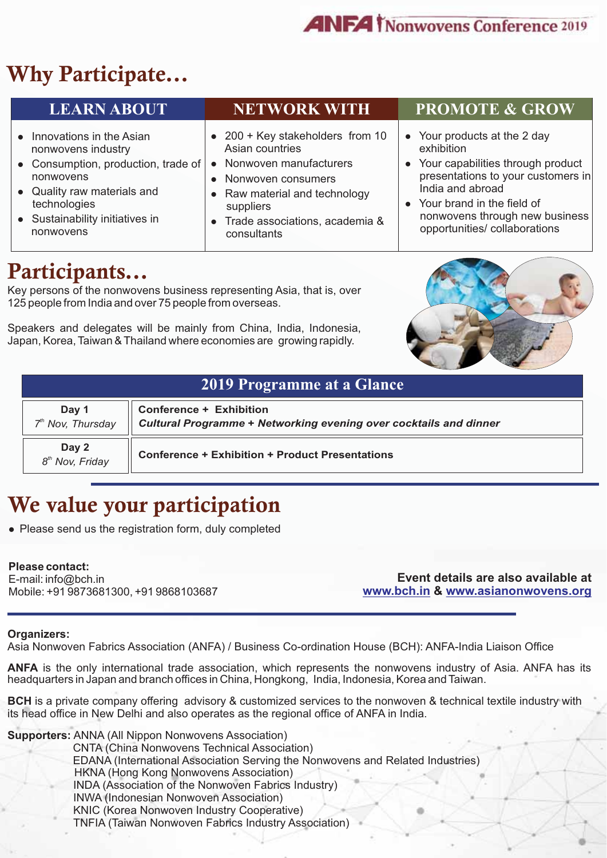## **Why Participate...**

| <b>LEARN ABOUT</b>                  | <b>NETWORK WITH</b>              | <b>PROMOTE &amp; GROW</b>          |
|-------------------------------------|----------------------------------|------------------------------------|
| • Innovations in the Asian          | • 200 + Key stakeholders from 10 | • Your products at the 2 day       |
| nonwovens industry                  | Asian countries                  | exhibition                         |
| • Consumption, production, trade of | Nonwoven manufacturers           | Your capabilities through product  |
| nonwovens                           | • Nonwoven consumers             | presentations to your customers in |
| • Quality raw materials and         | • Raw material and technology    | India and abroad                   |
| technologies                        | suppliers                        | • Your brand in the field of       |
| • Sustainability initiatives in     | • Trade associations, academia & | nonwovens through new business     |
| nonwovens                           | consultants                      | opportunities/ collaborations      |

## **Participants...**

Key persons of the nonwovens business representing Asia, that is, over 125 people from India and over 75 people from overseas.

Speakers and delegates will be mainly from China, India, Indonesia, Japan, Korea, Taiwan & Thailand where economies are growing rapidly.



| <b>2019 Programme at a Glance</b> |                                                                                              |
|-----------------------------------|----------------------------------------------------------------------------------------------|
| Day 1<br>$7th$ Nov, Thursday      | Conference + Exhibition<br>Cultural Programme + Networking evening over cocktails and dinner |
| <b>Day 2</b><br>$8th Nov, Friday$ | <b>Conference + Exhibition + Product Presentations</b>                                       |

## **We value your participation**

• Please send us the registration form, duly completed

### **Please contact:**

E-mail: info@bch.in Mobile: +91 9873681300, +91 9868103687

**Event details are also available at**  www.bch.in & www.asianonwovens.org

### **Organizers:**

Asia Nonwoven Fabrics Association (ANFA) / Business Co-ordination House (BCH): ANFA-India Liaison Office

**ANFA** is the only international trade association, which represents the nonwovens industry of Asia. ANFA has its headquarters in Japan and branch offices in China, Hongkong, India, Indonesia, Korea and Taiwan.

**BCH** is a private company offering advisory & customized services to the nonwoven & technical textile industry with its head office in New Delhi and also operates as the regional office of ANFA in India.

**Supporters:** ANNA (All Nippon Nonwovens Association)

CNTA (China Nonwovens Technical Association)

EDANA (International Association Serving the Nonwovens and Related Industries)

HKNA (Hong Kong Nonwovens Association)

INDA (Association of the Nonwoven Fabrics Industry)

INWA (Indonesian Nonwoven Association)

KNIC (Korea Nonwoven Industry Cooperative)

TNFIA (Taiwan Nonwoven Fabrics Industry Association)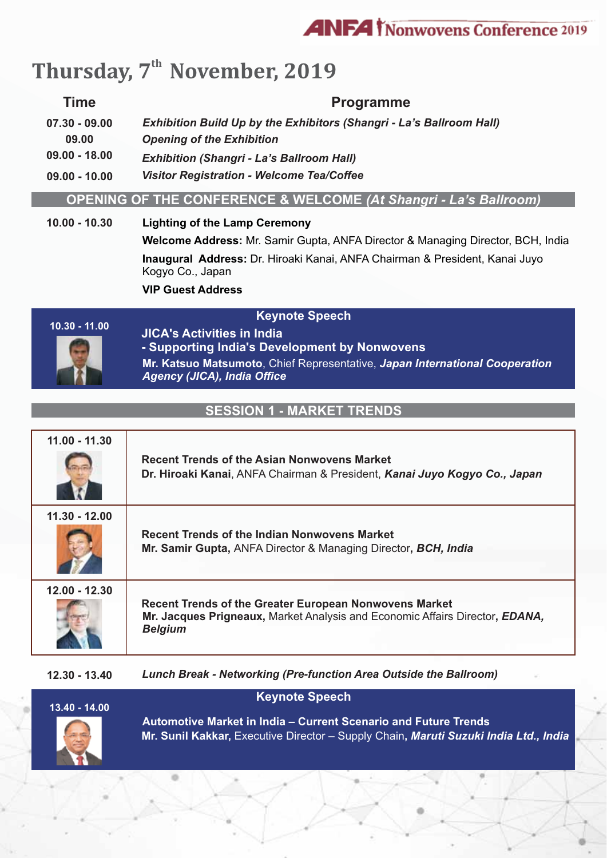

## Thursday, 7<sup>th</sup> November, 2019

### **Time Programme**

**09.00 - 18.00 09.00 09.00 - 10.00 07.30 - 09.00** *Exhibition (Shangri - La's Ballroom Hall) Exhibition Build Up by the Exhibitors (Shangri - La's Ballroom Hall) Opening of the Exhibition Visitor Registration - Welcome Tea/Coffee* 

### **OPENING OF THE CONFERENCE & WELCOME** *(At Shangri - La's Ballroom)*

### **10.00 - 10.30 Lighting of the Lamp Ceremony**

**Welcome Address:** Mr. Samir Gupta, ANFA Director & Managing Director, BCH, India **Inaugural Address:** Dr. Hiroaki Kanai, ANFA Chairman & President, Kanai Juyo Kogyo Co., Japan **VIP Guest Address** 

### **Keynote Speech**



**Mr. Katsuo Matsumoto**, Chief Representative, *Japan International Cooperation Agency (JICA), India Office* **JICA's Activities in India - Supporting India's Development by Nonwovens**

### **SESSION 1 - MARKET TRENDS**

| $11.00 - 11.30$ | <b>Recent Trends of the Asian Nonwovens Market</b><br>Dr. Hiroaki Kanai, ANFA Chairman & President, Kanai Juyo Kogyo Co., Japan                                 |
|-----------------|-----------------------------------------------------------------------------------------------------------------------------------------------------------------|
| $11.30 - 12.00$ | <b>Recent Trends of the Indian Nonwovens Market</b><br>Mr. Samir Gupta, ANFA Director & Managing Director, BCH, India                                           |
| $12.00 - 12.30$ | <b>Recent Trends of the Greater European Nonwovens Market</b><br>Mr. Jacques Prigneaux, Market Analysis and Economic Affairs Director, EDANA,<br><b>Belgium</b> |

**12.30 - 13.40** *Lunch Break - Networking (Pre-function Area Outside the Ballroom)*

| $13.40 - 14.00$ | <b>Keynote Speech</b>                                                                                                                                          |
|-----------------|----------------------------------------------------------------------------------------------------------------------------------------------------------------|
| 3               | <b>Automotive Market in India - Current Scenario and Future Trends</b><br>Mr. Sunil Kakkar, Executive Director – Supply Chain, Maruti Suzuki India Ltd., India |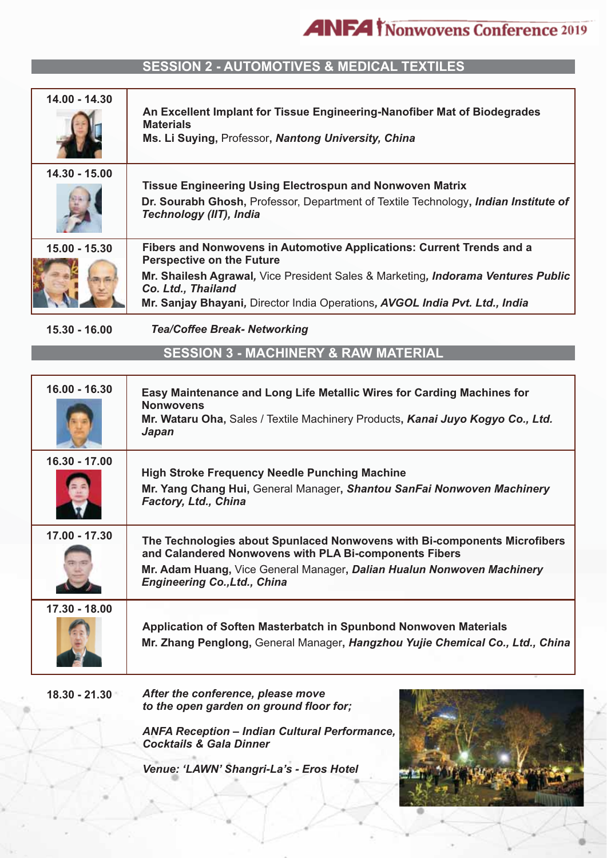### **SESSION 2 - AUTOMOTIVES & MEDICAL TEXTILES**

| 14.00 - 14.30   | An Excellent Implant for Tissue Engineering-Nanofiber Mat of Biodegrades<br><b>Materials</b><br>Ms. Li Suying, Professor, Nantong University, China                                                                                                                                                |
|-----------------|----------------------------------------------------------------------------------------------------------------------------------------------------------------------------------------------------------------------------------------------------------------------------------------------------|
| 14.30 - 15.00   | <b>Tissue Engineering Using Electrospun and Nonwoven Matrix</b><br>Dr. Sourabh Ghosh, Professor, Department of Textile Technology, <i>Indian Institute of</i><br>Technology (IIT), India                                                                                                           |
| $15.00 - 15.30$ | Fibers and Nonwovens in Automotive Applications: Current Trends and a<br><b>Perspective on the Future</b><br>Mr. Shailesh Agrawal, Vice President Sales & Marketing, Indorama Ventures Public<br>Co. Ltd., Thailand<br>Mr. Sanjay Bhayani, Director India Operations, AVGOL India Pvt. Ltd., India |

**15.30 - 16.00** *Tea/Coffee Break- Networking*

**SESSION 3 - MACHINERY & RAW MATERIAL**

| 16.00 - 16.30   | Easy Maintenance and Long Life Metallic Wires for Carding Machines for<br><b>Nonwovens</b><br>Mr. Wataru Oha, Sales / Textile Machinery Products, Kanai Juyo Kogyo Co., Ltd.<br>Japan                                                                |
|-----------------|------------------------------------------------------------------------------------------------------------------------------------------------------------------------------------------------------------------------------------------------------|
| $16.30 - 17.00$ | <b>High Stroke Frequency Needle Punching Machine</b><br>Mr. Yang Chang Hui, General Manager, Shantou SanFai Nonwoven Machinery<br>Factory, Ltd., China                                                                                               |
| 17.00 - 17.30   | The Technologies about Spunlaced Nonwovens with Bi-components Microfibers<br>and Calandered Nonwovens with PLA Bi-components Fibers<br>Mr. Adam Huang, Vice General Manager, Dalian Hualun Nonwoven Machinery<br><b>Engineering Co., Ltd., China</b> |
| 17.30 - 18.00   | Application of Soften Masterbatch in Spunbond Nonwoven Materials<br>Mr. Zhang Penglong, General Manager, Hangzhou Yujie Chemical Co., Ltd., China                                                                                                    |

**18.30 - 21.30** *After the conference, please move to the open garden on ground floor for;*

> *ANFA Reception – Indian Cultural Performance, Cocktails & Gala Dinner*

*Venue: 'LAWN' Shangri-La's - Eros Hotel* 

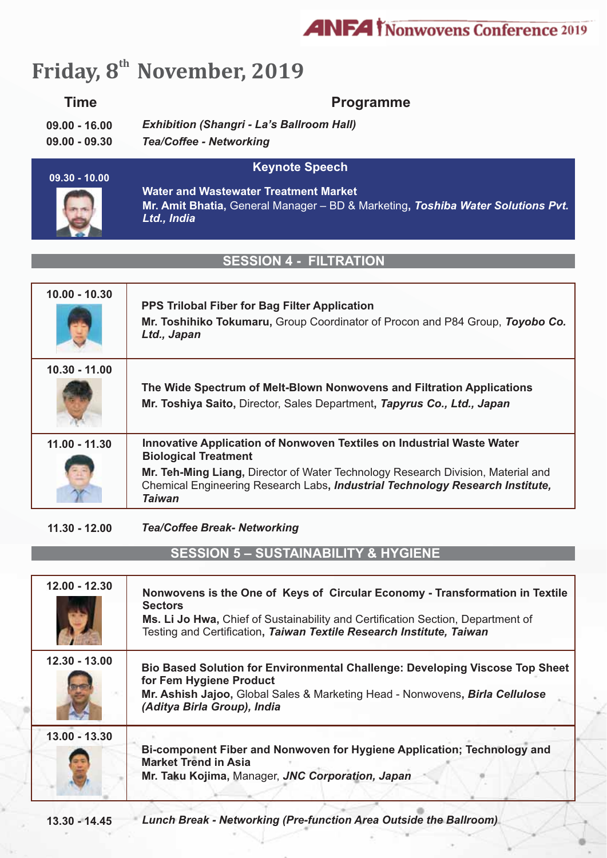## **ANFA** *Nonwovens* Conference 2019

## Friday, 8<sup>th</sup> November, 2019

### **Time**

### **Programme**

**09.00 - 16.00** *Exhibition (Shangri - La's Ballroom Hall)*

**09.00 - 09.30**  *Tea/Coffee - Networking*

### **Keynote Speech**



**Mr. Amit Bhatia,** General Manager – BD & Marketing**,** *Toshiba Water Solutions Pvt. Ltd., India* **Water and Wastewater Treatment Market**

### **SESSION 4 - FILTRATIO**

| $10.00 - 10.30$ | <b>PPS Trilobal Fiber for Bag Filter Application</b><br>Mr. Toshihiko Tokumaru, Group Coordinator of Procon and P84 Group, Toyobo Co.<br>Ltd., Japan                                                                                                                                       |
|-----------------|--------------------------------------------------------------------------------------------------------------------------------------------------------------------------------------------------------------------------------------------------------------------------------------------|
| $10.30 - 11.00$ | The Wide Spectrum of Melt-Blown Nonwovens and Filtration Applications<br>Mr. Toshiya Saito, Director, Sales Department, Tapyrus Co., Ltd., Japan                                                                                                                                           |
| $11.00 - 11.30$ | Innovative Application of Nonwoven Textiles on Industrial Waste Water<br><b>Biological Treatment</b><br>Mr. Teh-Ming Liang, Director of Water Technology Research Division, Material and<br>Chemical Engineering Research Labs, Industrial Technology Research Institute,<br><b>Taiwan</b> |

**11.30 - 12.00** *Tea/Coffee Break- Networking*

**SESSION 5 – SUSTAINABILITY & HYGIENE**

| $12.00 - 12.30$ | Nonwovens is the One of Keys of Circular Economy - Transformation in Textile<br><b>Sectors</b><br>Ms. Li Jo Hwa, Chief of Sustainability and Certification Section, Department of<br>Testing and Certification, Taiwan Textile Research Institute, Taiwan |
|-----------------|-----------------------------------------------------------------------------------------------------------------------------------------------------------------------------------------------------------------------------------------------------------|
| $12.30 - 13.00$ | Bio Based Solution for Environmental Challenge: Developing Viscose Top Sheet<br>for Fem Hygiene Product<br>Mr. Ashish Jajoo, Global Sales & Marketing Head - Nonwovens, Birla Cellulose<br>(Aditya Birla Group), India                                    |
| 13.00 - 13.30   | Bi-component Fiber and Nonwoven for Hygiene Application; Technology and<br><b>Market Trend in Asia</b><br>Mr. Taku Kojima, Manager, JNC Corporation, Japan                                                                                                |

**13.30 - 14.45** *Lunch Break - Networking (Pre-function Area Outside the Ballroom)*